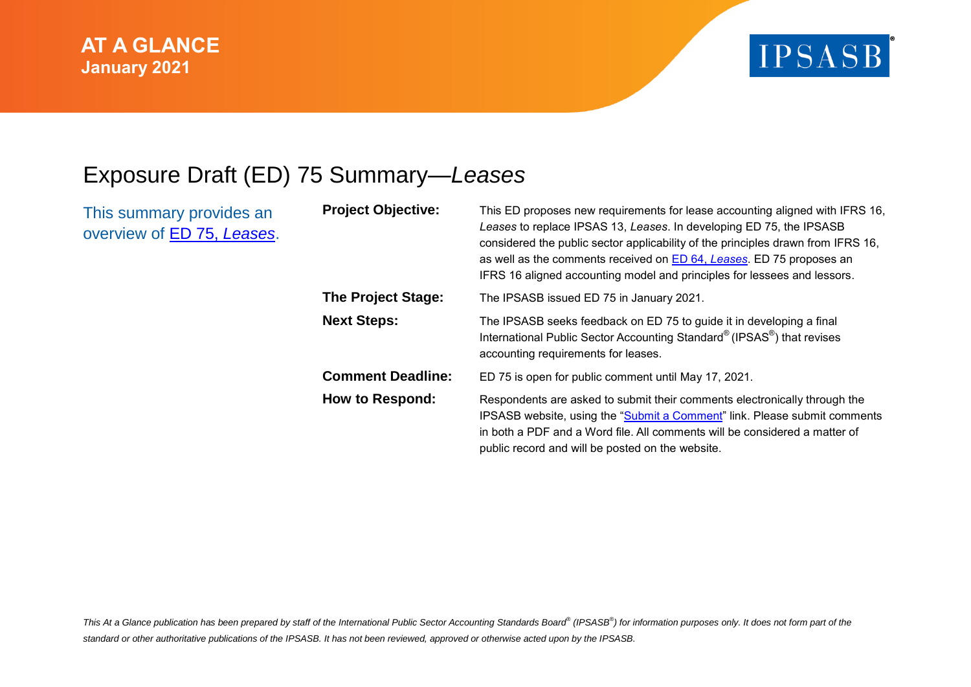

## Exposure Draft (ED) 75 Summary—*Leases*

This summary provides an overview of ED 75, *[Leases](https://www.ipsasb.org/publications/exposure-draft-75-leases)*.

| <b>Project Objective:</b> | This ED proposes new requirements for lease accounting aligned with IFRS 16,<br>Leases to replace IPSAS 13, Leases. In developing ED 75, the IPSASB<br>considered the public sector applicability of the principles drawn from IFRS 16,<br>as well as the comments received on <b>ED 64, Leases</b> . ED 75 proposes an<br>IFRS 16 aligned accounting model and principles for lessees and lessors. |
|---------------------------|-----------------------------------------------------------------------------------------------------------------------------------------------------------------------------------------------------------------------------------------------------------------------------------------------------------------------------------------------------------------------------------------------------|
| <b>The Project Stage:</b> | The IPSASB issued ED 75 in January 2021.                                                                                                                                                                                                                                                                                                                                                            |
| <b>Next Steps:</b>        | The IPSASB seeks feedback on ED 75 to guide it in developing a final<br>International Public Sector Accounting Standard® (IPSAS®) that revises<br>accounting requirements for leases.                                                                                                                                                                                                               |
| <b>Comment Deadline:</b>  | ED 75 is open for public comment until May 17, 2021.                                                                                                                                                                                                                                                                                                                                                |
| <b>How to Respond:</b>    | Respondents are asked to submit their comments electronically through the<br>IPSASB website, using the "Submit a Comment" link. Please submit comments<br>in both a PDF and a Word file. All comments will be considered a matter of<br>public record and will be posted on the website.                                                                                                            |

This At a Glance publication has been prepared by staff of the International Public Sector Accounting Standards Board® (IPSASB®) for information purposes only. It does not form part of the *standard or other authoritative publications of the IPSASB. It has not been reviewed, approved or otherwise acted upon by the IPSASB.*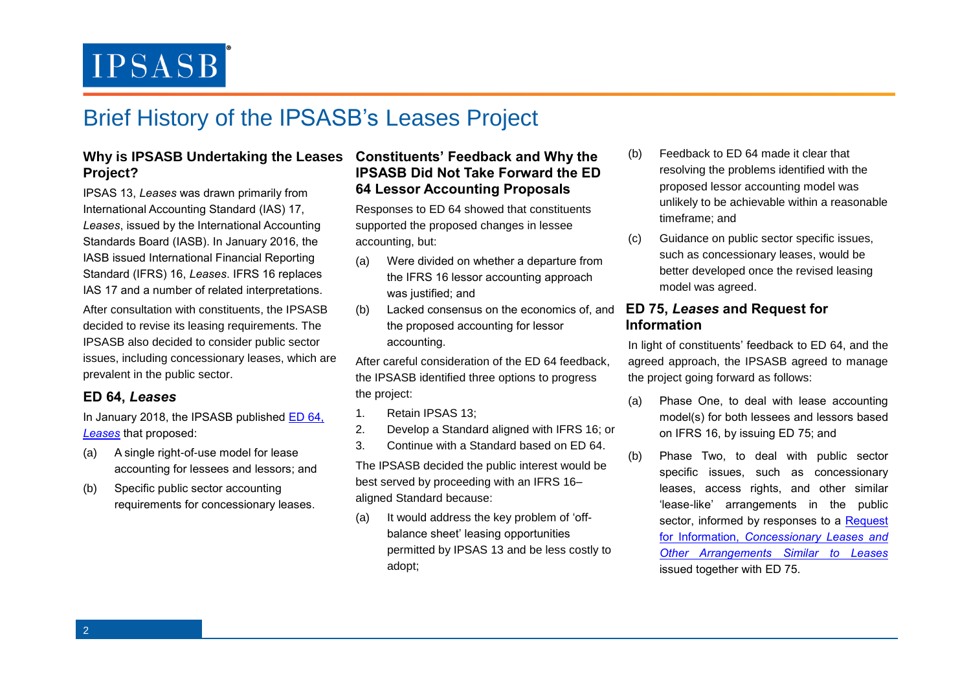## Brief History of the IPSASB's Leases Project

### **Why is IPSASB Undertaking the Leases Constituents' Feedback and Why the Project?**

IPSAS 13, *Leases* was drawn primarily from International Accounting Standard (IAS) 17, *Leases*, issued by the International Accounting Standards Board (IASB). In January 2016, the IASB issued International Financial Reporting Standard (IFRS) 16, *Leases*. IFRS 16 replaces IAS 17 and a number of related interpretations.

After consultation with constituents, the IPSASB decided to revise its leasing requirements. The IPSASB also decided to consider public sector issues, including concessionary leases, which are prevalent in the public sector.

### **ED 64,** *Leases*

In January 2018, the IPSASB published [ED 64,](https://www.ifac.org/system/files/publications/files/Exposure-Draft-64-Leases_1.pdf)  *[Leases](https://www.ifac.org/system/files/publications/files/Exposure-Draft-64-Leases_1.pdf)* that proposed:

- (a) A single right-of-use model for lease accounting for lessees and lessors; and
- (b) Specific public sector accounting requirements for concessionary leases.

### **IPSASB Did Not Take Forward the ED 64 Lessor Accounting Proposals**

Responses to ED 64 showed that constituents supported the proposed changes in lessee accounting, but:

- (a) Were divided on whether a departure from the IFRS 16 lessor accounting approach was justified; and
- (b) Lacked consensus on the economics of, and the proposed accounting for lessor accounting.

After careful consideration of the ED 64 feedback, the IPSASB identified three options to progress the project:

- 1. Retain IPSAS 13;
- 2. Develop a Standard aligned with IFRS 16; or
- 3. Continue with a Standard based on ED 64.

The IPSASB decided the public interest would be best served by proceeding with an IFRS 16– aligned Standard because:

(a) It would address the key problem of 'offbalance sheet' leasing opportunities permitted by IPSAS 13 and be less costly to adopt;

- (b) Feedback to ED 64 made it clear that resolving the problems identified with the proposed lessor accounting model was unlikely to be achievable within a reasonable timeframe; and
- (c) Guidance on public sector specific issues, such as concessionary leases, would be better developed once the revised leasing model was agreed.

### **ED 75,** *Leases* **and Request for Information**

In light of constituents' feedback to ED 64, and the agreed approach, the IPSASB agreed to manage the project going forward as follows:

- (a) Phase One, to deal with lease accounting model(s) for both lessees and lessors based on IFRS 16, by issuing ED 75; and
- (b) Phase Two, to deal with public sector specific issues, such as concessionary leases, access rights, and other similar 'lease-like' arrangements in the public sector, informed by responses to a Request for Information, *[Concessionary Leases and](https://www.ipsasb.org/publications/request-information-concessionary-leases-and-other-arrangements-similar-leases)  [Other Arrangements Similar to Leases](https://www.ipsasb.org/publications/request-information-concessionary-leases-and-other-arrangements-similar-leases)* issued together with ED 75.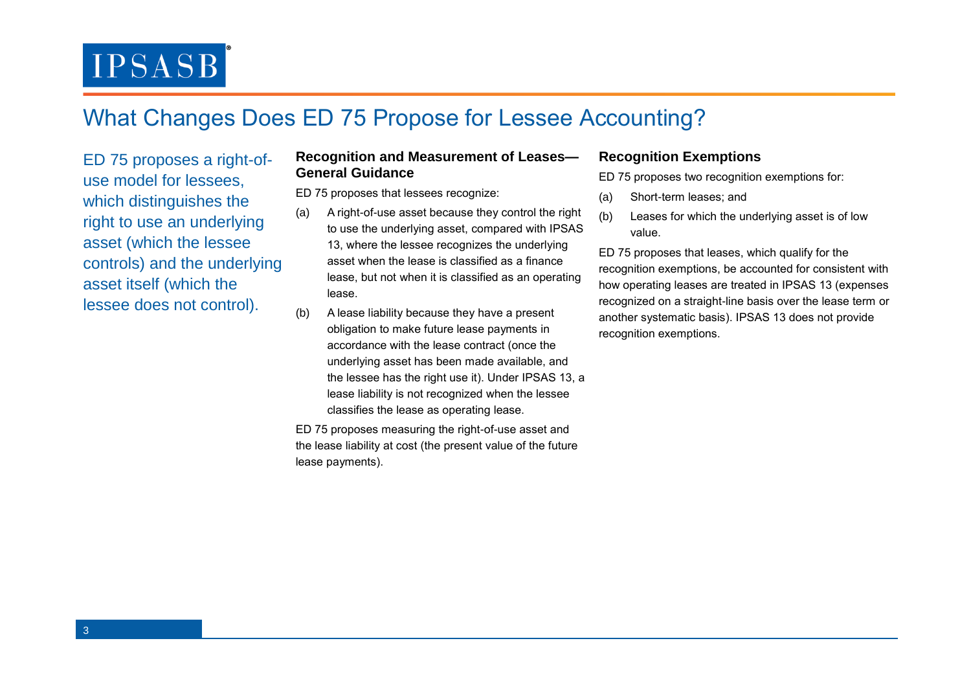## What Changes Does ED 75 Propose for Lessee Accounting?

ED 75 proposes a right-ofuse model for lessees, which distinguishes the right to use an underlying asset (which the lessee controls) and the underlying asset itself (which the lessee does not control).

### **Recognition and Measurement of Leases— General Guidance**

ED 75 proposes that lessees recognize:

- (a) A right-of-use asset because they control the right to use the underlying asset, compared with IPSAS 13, where the lessee recognizes the underlying asset when the lease is classified as a finance lease, but not when it is classified as an operating lease.
- (b) A lease liability because they have a present obligation to make future lease payments in accordance with the lease contract (once the underlying asset has been made available, and the lessee has the right use it). Under IPSAS 13, a lease liability is not recognized when the lessee classifies the lease as operating lease.

ED 75 proposes measuring the right-of-use asset and the lease liability at cost (the present value of the future lease payments).

### **Recognition Exemptions**

ED 75 proposes two recognition exemptions for:

- (a) Short-term leases; and
- (b) Leases for which the underlying asset is of low value.

ED 75 proposes that leases, which qualify for the recognition exemptions, be accounted for consistent with how operating leases are treated in IPSAS 13 (expenses recognized on a straight-line basis over the lease term or another systematic basis). IPSAS 13 does not provide recognition exemptions.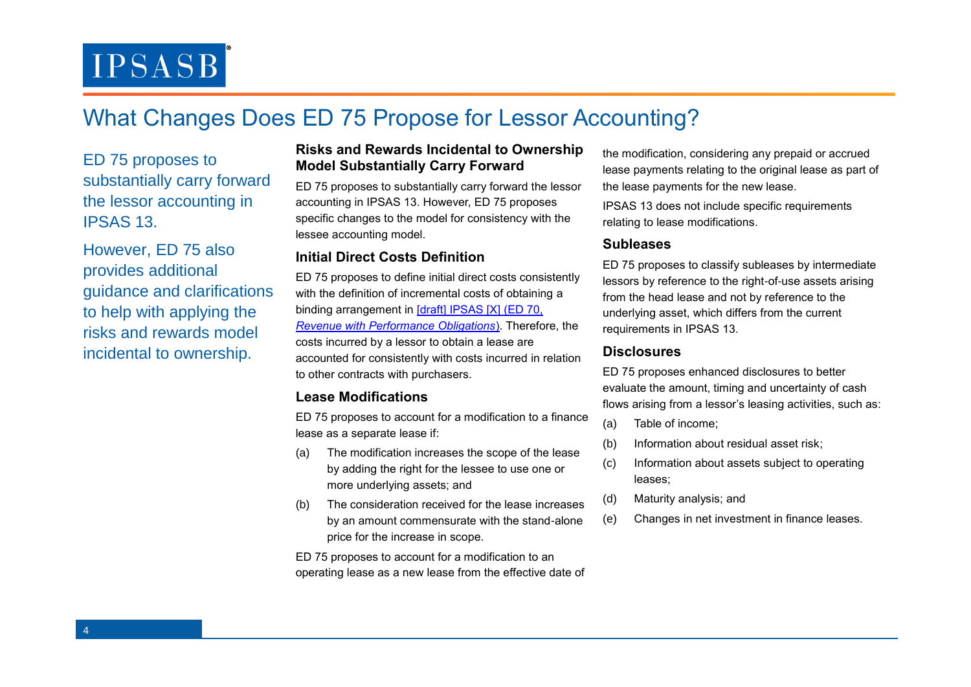## What Changes Does ED 75 Propose for Lessor Accounting?

ED 75 proposes to substantially carry forward the lessor accounting in IPSAS 13.

However, ED 75 also provides additional guidance and clarifications to help with applying the risks and rewards model incidental to ownership.

#### **Risks and Rewards Incidental to Ownership Model Substantially Carry Forward**

ED 75 proposes to substantially carry forward the lessor accounting in IPSAS 13. However, ED 75 proposes specific changes to the model for consistency with the lessee accounting model.

### **Initial Direct Costs Definition**

ED 75 proposes to define initial direct costs consistently with the definition of incremental costs of obtaining a binding arrangement in [draft] IPSAS [X] (ED 70, *[Revenue with Performance Obligations](https://www.ifac.org/system/files/publications/files/IPSASB-ED-70-Revenue-with-Performance-Obligations.pdf)*). Therefore, the costs incurred by a lessor to obtain a lease are accounted for consistently with costs incurred in relation to other contracts with purchasers.

### **Lease Modifications**

ED 75 proposes to account for a modification to a finance lease as a separate lease if:

- (a) The modification increases the scope of the lease by adding the right for the lessee to use one or more underlying assets; and
- (b) The consideration received for the lease increases by an amount commensurate with the stand-alone price for the increase in scope.

ED 75 proposes to account for a modification to an operating lease as a new lease from the effective date of the modification, considering any prepaid or accrued lease payments relating to the original lease as part of the lease payments for the new lease.

IPSAS 13 does not include specific requirements relating to lease modifications.

### **Subleases**

ED 75 proposes to classify subleases by intermediate lessors by reference to the right-of-use assets arising from the head lease and not by reference to the underlying asset, which differs from the current requirements in IPSAS 13.

### **Disclosures**

ED 75 proposes enhanced disclosures to better evaluate the amount, timing and uncertainty of cash flows arising from a lessor's leasing activities, such as:

- (a) Table of income;
- (b) Information about residual asset risk;
- (c) Information about assets subject to operating leases;
- (d) Maturity analysis; and
- (e) Changes in net investment in finance leases.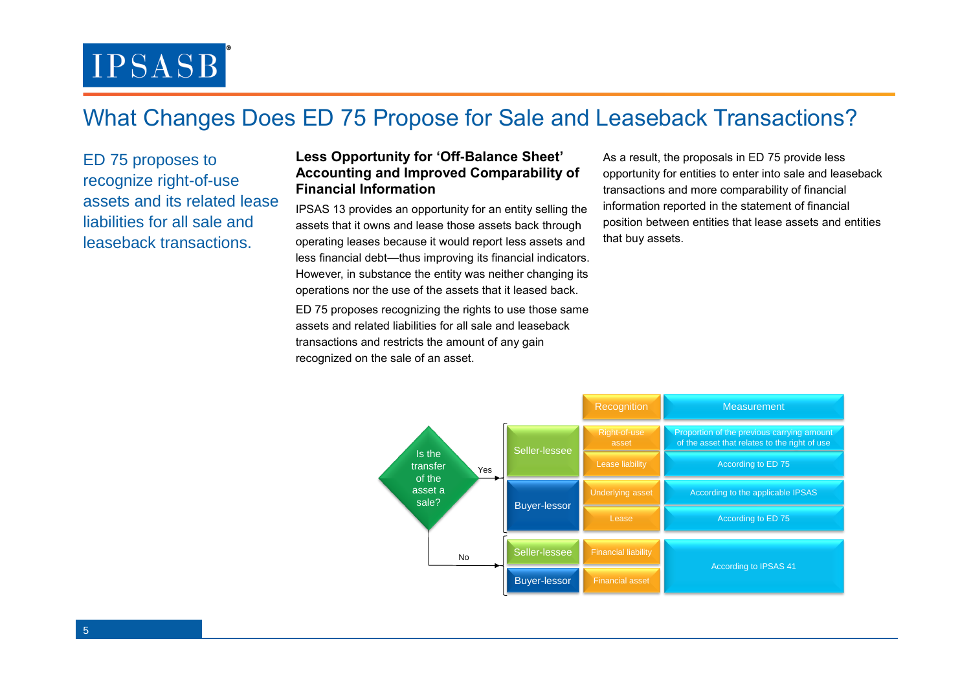## What Changes Does ED 75 Propose for Sale and Leaseback Transactions?

ED 75 proposes to recognize right-of-use assets and its related lease liabilities for all sale and leaseback transactions.

### **Less Opportunity for 'Off-Balance Sheet' Accounting and Improved Comparability of Financial Information**

IPSAS 13 provides an opportunity for an entity selling the assets that it owns and lease those assets back through operating leases because it would report less assets and less financial debt—thus improving its financial indicators. However, in substance the entity was neither changing its operations nor the use of the assets that it leased back.

ED 75 proposes recognizing the rights to use those same assets and related liabilities for all sale and leaseback transactions and restricts the amount of any gain recognized on the sale of an asset.

As a result, the proposals in ED 75 provide less opportunity for entities to enter into sale and leaseback transactions and more comparability of financial information reported in the statement of financial position between entities that lease assets and entities that buy assets.

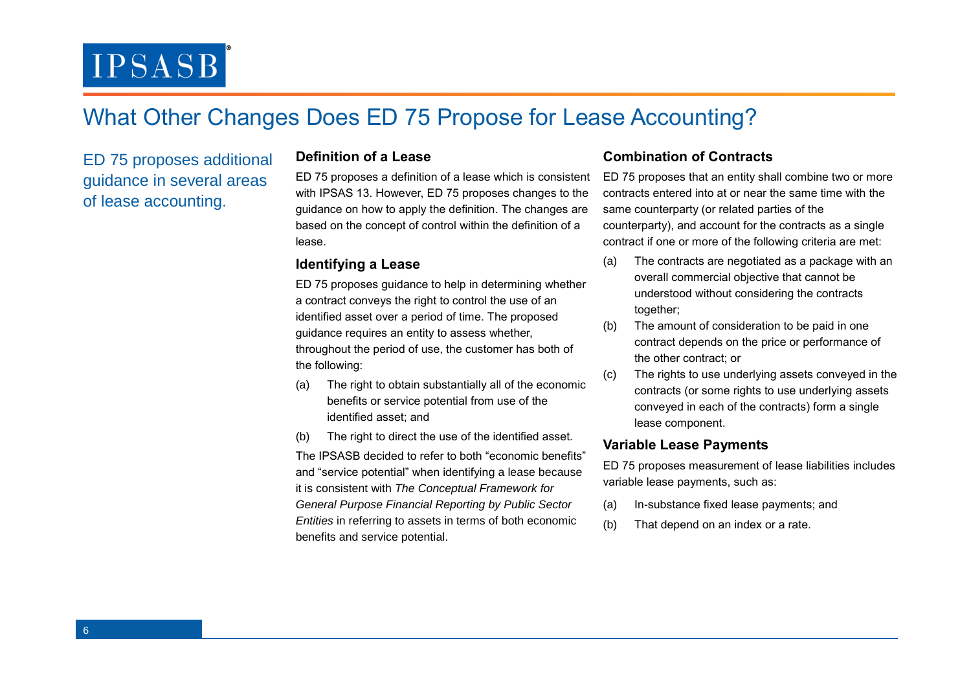### What Other Changes Does ED 75 Propose for Lease Accounting?

ED 75 proposes additional guidance in several areas of lease accounting.

#### **Definition of a Lease**

ED 75 proposes a definition of a lease which is consistent with IPSAS 13. However, ED 75 proposes changes to the guidance on how to apply the definition. The changes are based on the concept of control within the definition of a lease.

### **Identifying a Lease**

ED 75 proposes guidance to help in determining whether a contract conveys the right to control the use of an identified asset over a period of time. The proposed guidance requires an entity to assess whether, throughout the period of use, the customer has both of the following:

- (a) The right to obtain substantially all of the economic benefits or service potential from use of the identified asset; and
- (b) The right to direct the use of the identified asset.

The IPSASB decided to refer to both "economic benefits" and "service potential" when identifying a lease because it is consistent with *The Conceptual Framework for General Purpose Financial Reporting by Public Sector Entities* in referring to assets in terms of both economic benefits and service potential.

### **Combination of Contracts**

ED 75 proposes that an entity shall combine two or more contracts entered into at or near the same time with the same counterparty (or related parties of the counterparty), and account for the contracts as a single contract if one or more of the following criteria are met:

- (a) The contracts are negotiated as a package with an overall commercial objective that cannot be understood without considering the contracts together;
- (b) The amount of consideration to be paid in one contract depends on the price or performance of the other contract; or
- (c) The rights to use underlying assets conveyed in the contracts (or some rights to use underlying assets conveyed in each of the contracts) form a single lease component.

#### **Variable Lease Payments**

ED 75 proposes measurement of lease liabilities includes variable lease payments, such as:

- (a) In-substance fixed lease payments; and
- (b) That depend on an index or a rate.